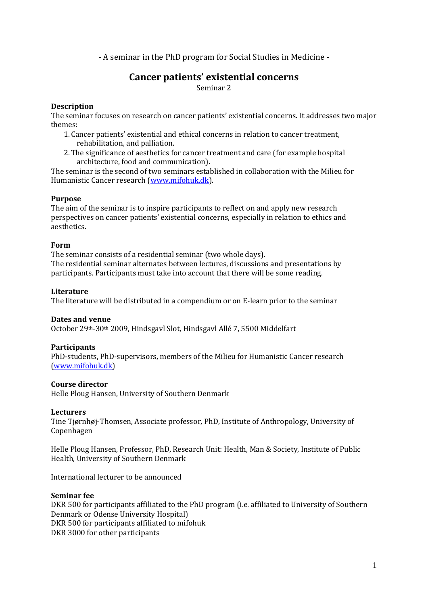- A seminar in the PhD program for Social Studies in Medicine -

# **Cancer patients' existential concerns** Seminar 2

### **Description**

The seminar focuses on research on cancer patients' existential concerns. It addresses two major themes:

- 1. Cancer patients' existential and ethical concerns in relation to cancer treatment, rehabilitation, and palliation.
- 2.The significance of aesthetics for cancer treatment and care (for example hospital architecture, food and communication).

The seminar is the second of two seminars established in collaboration with the Milieu for Humanistic Cancer research [\(www.mifohuk.dk\)](http://www.mifohuk.dk/).

### **Purpose**

The aim of the seminar is to inspire participants to reflect on and apply new research perspectives on cancer patients' existential concerns, especially in relation to ethics and aesthetics.

#### **Form**

The seminar consists of a residential seminar (two whole days). The residential seminar alternates between lectures, discussions and presentations by participants. Participants must take into account that there will be some reading.

#### **Literature**

The literature will be distributed in a compendium or on E-learn prior to the seminar

#### **Dates and venue**

October 29th-30th 2009, Hindsgavl Slot, Hindsgavl Allé 7, 5500 Middelfart

#### **Participants**

PhD-students, PhD-supervisors, members of the Milieu for Humanistic Cancer research [\(www.mifohuk.dk\)](http://www.mifohuk.dk/)

#### **Course director**

Helle Ploug Hansen, University of Southern Denmark

#### **Lecturers**

Tine Tjørnhøj-Thomsen, Associate professor, PhD, Institute of Anthropology, University of Copenhagen

Helle Ploug Hansen, Professor, PhD, Research Unit: Health, Man & Society, Institute of Public Health, University of Southern Denmark

International lecturer to be announced

#### **Seminar fee**

DKR 500 for participants affiliated to the PhD program (i.e. affiliated to University of Southern Denmark or Odense University Hospital) DKR 500 for participants affiliated to mifohuk DKR 3000 for other participants